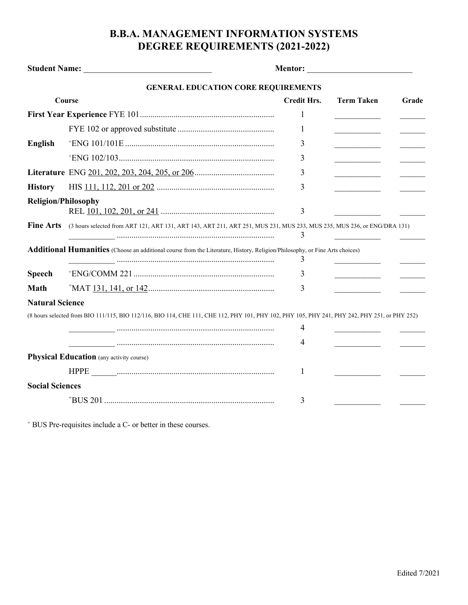## **B.B.A. MANAGEMENT INFORMATION SYSTEMS DEGREE REQUIREMENTS (2021-2022)**

| Student Name: Name:                                                                                                              |                                                                                                                                               |                    |                   |       |  |  |
|----------------------------------------------------------------------------------------------------------------------------------|-----------------------------------------------------------------------------------------------------------------------------------------------|--------------------|-------------------|-------|--|--|
|                                                                                                                                  | <b>GENERAL EDUCATION CORE REQUIREMENTS</b>                                                                                                    |                    |                   |       |  |  |
| Course                                                                                                                           |                                                                                                                                               | <b>Credit Hrs.</b> | <b>Term Taken</b> | Grade |  |  |
|                                                                                                                                  |                                                                                                                                               | 1                  |                   |       |  |  |
|                                                                                                                                  |                                                                                                                                               | 1                  |                   |       |  |  |
| <b>English</b>                                                                                                                   |                                                                                                                                               | 3                  |                   |       |  |  |
|                                                                                                                                  |                                                                                                                                               | 3                  |                   |       |  |  |
|                                                                                                                                  |                                                                                                                                               | 3                  |                   |       |  |  |
| <b>History</b>                                                                                                                   |                                                                                                                                               | 3                  |                   |       |  |  |
| <b>Religion/Philosophy</b>                                                                                                       |                                                                                                                                               | 3                  |                   |       |  |  |
| <b>Fine Arts</b>                                                                                                                 | (3 hours selected from ART 121, ART 131, ART 143, ART 211, ART 251, MUS 231, MUS 233, MUS 235, MUS 236, or ENG/DRA 131)                       | 3                  |                   |       |  |  |
| Additional Humanities (Choose an additional course from the Literature, History, Religion/Philosophy, or Fine Arts choices)<br>3 |                                                                                                                                               |                    |                   |       |  |  |
| <b>Speech</b>                                                                                                                    |                                                                                                                                               | 3                  |                   |       |  |  |
| <b>Math</b>                                                                                                                      |                                                                                                                                               | 3                  |                   |       |  |  |
| <b>Natural Science</b>                                                                                                           |                                                                                                                                               |                    |                   |       |  |  |
|                                                                                                                                  | (8 hours selected from BIO 111/115, BIO 112/116, BIO 114, CHE 111, CHE 112, PHY 101, PHY 102, PHY 105, PHY 241, PHY 242, PHY 251, or PHY 252) |                    |                   |       |  |  |
|                                                                                                                                  |                                                                                                                                               | 4                  |                   |       |  |  |
|                                                                                                                                  |                                                                                                                                               | 4                  |                   |       |  |  |
|                                                                                                                                  | <b>Physical Education</b> (any activity course)                                                                                               |                    |                   |       |  |  |
|                                                                                                                                  |                                                                                                                                               | 1                  |                   |       |  |  |
| <b>Social Sciences</b>                                                                                                           |                                                                                                                                               |                    |                   |       |  |  |
|                                                                                                                                  |                                                                                                                                               | 3                  |                   |       |  |  |

<sup>+</sup> BUS Pre-requisites include a C- or better in these courses.